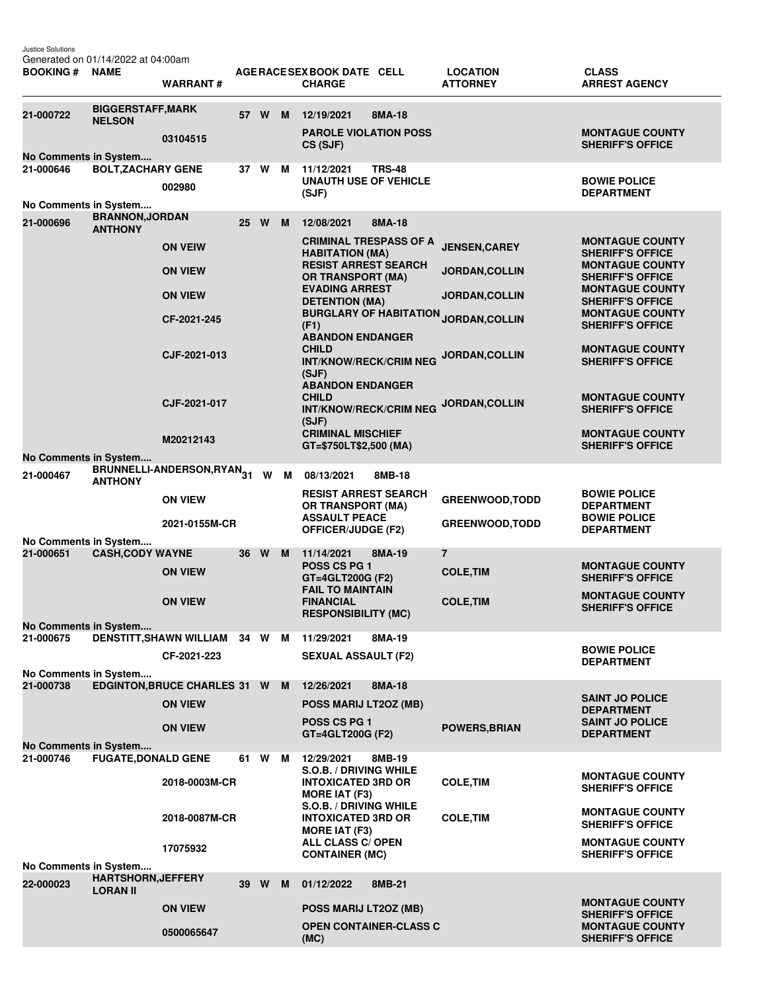Justice Solutions Generated on 01/14/2022 at 04:00am

| BOOKING # NAME                     |                                                  | <b>WARRANT#</b>                           |    |        |     | AGE RACE SEX BOOK DATE CELL<br><b>CHARGE</b>                                                                                                                                                                                             | <b>LOCATION</b><br><b>ATTORNEY</b> | <b>CLASS</b><br><b>ARREST AGENCY</b>                                                                   |
|------------------------------------|--------------------------------------------------|-------------------------------------------|----|--------|-----|------------------------------------------------------------------------------------------------------------------------------------------------------------------------------------------------------------------------------------------|------------------------------------|--------------------------------------------------------------------------------------------------------|
| 21-000722                          | <b>BIGGERSTAFF, MARK</b><br><b>NELSON</b>        |                                           | 57 | W      | M   | 8MA-18<br>12/19/2021                                                                                                                                                                                                                     |                                    |                                                                                                        |
|                                    |                                                  | 03104515                                  |    |        |     | <b>PAROLE VIOLATION POSS</b><br>CS (SJF)                                                                                                                                                                                                 |                                    | <b>MONTAGUE COUNTY</b><br><b>SHERIFF'S OFFICE</b>                                                      |
| No Comments in System<br>21-000646 | <b>BOLT, ZACHARY GENE</b>                        |                                           |    | 37 W   | м   | 11/12/2021<br><b>TRS-48</b>                                                                                                                                                                                                              |                                    |                                                                                                        |
|                                    |                                                  | 002980                                    |    |        |     | <b>UNAUTH USE OF VEHICLE</b><br>(SJF)                                                                                                                                                                                                    |                                    | <b>BOWIE POLICE</b><br><b>DEPARTMENT</b>                                                               |
| No Comments in System              | <b>BRANNON, JORDAN</b>                           |                                           |    |        |     |                                                                                                                                                                                                                                          |                                    |                                                                                                        |
| 21-000696                          | <b>ANTHONY</b>                                   |                                           |    | 25 W M |     | 8MA-18<br>12/08/2021                                                                                                                                                                                                                     |                                    |                                                                                                        |
|                                    |                                                  | <b>ON VEIW</b>                            |    |        |     | <b>CRIMINAL TRESPASS OF A</b><br><b>HABITATION (MA)</b><br><b>RESIST ARREST SEARCH</b><br><b>OR TRANSPORT (MA)</b><br><b>EVADING ARREST</b><br><b>DETENTION (MA)</b><br><b>BURGLARY OF HABITATION</b><br>(F1)<br><b>ABANDON ENDANGER</b> | <b>JENSEN, CAREY</b>               | <b>MONTAGUE COUNTY</b><br><b>SHERIFF'S OFFICE</b><br><b>MONTAGUE COUNTY</b><br><b>SHERIFF'S OFFICE</b> |
|                                    |                                                  | <b>ON VIEW</b>                            |    |        |     |                                                                                                                                                                                                                                          | JORDAN, COLLIN                     |                                                                                                        |
|                                    |                                                  | <b>ON VIEW</b>                            |    |        |     |                                                                                                                                                                                                                                          | <b>JORDAN, COLLIN</b>              | <b>MONTAGUE COUNTY</b><br><b>SHERIFF'S OFFICE</b>                                                      |
|                                    |                                                  | CF-2021-245                               |    |        |     |                                                                                                                                                                                                                                          | JORDAN, COLLIN                     | <b>MONTAGUE COUNTY</b><br><b>SHERIFF'S OFFICE</b>                                                      |
|                                    |                                                  | CJF-2021-013                              |    |        |     | <b>CHILD</b><br><b>INT/KNOW/RECK/CRIM NEG</b><br>(SJF)                                                                                                                                                                                   | JORDAN, COLLIN                     | <b>MONTAGUE COUNTY</b><br><b>SHERIFF'S OFFICE</b>                                                      |
|                                    |                                                  | CJF-2021-017                              |    |        |     | <b>ABANDON ENDANGER</b><br><b>CHILD</b><br><b>INT/KNOW/RECK/CRIM NEG</b><br>(SJF)                                                                                                                                                        | JORDAN, COLLIN                     | <b>MONTAGUE COUNTY</b><br><b>SHERIFF'S OFFICE</b>                                                      |
|                                    |                                                  | M20212143                                 |    |        |     | <b>CRIMINAL MISCHIEF</b><br>GT=\$750LT\$2,500 (MA)                                                                                                                                                                                       |                                    | <b>MONTAGUE COUNTY</b><br><b>SHERIFF'S OFFICE</b>                                                      |
| No Comments in System              |                                                  |                                           |    |        |     |                                                                                                                                                                                                                                          |                                    |                                                                                                        |
| 21-000467                          | <b>ANTHONY</b>                                   | BRUNNELLI-ANDERSON,RYAN <sub>31</sub> W M |    |        |     | 08/13/2021<br>8MB-18                                                                                                                                                                                                                     |                                    |                                                                                                        |
|                                    |                                                  | <b>ON VIEW</b>                            |    |        |     | <b>RESIST ARREST SEARCH</b><br><b>OR TRANSPORT (MA)</b>                                                                                                                                                                                  | <b>GREENWOOD, TODD</b>             | <b>BOWIE POLICE</b><br><b>DEPARTMENT</b>                                                               |
|                                    |                                                  | 2021-0155M-CR                             |    |        |     | <b>ASSAULT PEACE</b><br><b>OFFICER/JUDGE (F2)</b>                                                                                                                                                                                        | <b>GREENWOOD, TODD</b>             | <b>BOWIE POLICE</b><br><b>DEPARTMENT</b>                                                               |
| 21-000651                          | No Comments in System<br><b>CASH, CODY WAYNE</b> |                                           |    | 36 W   | M   | 11/14/2021<br>8MA-19                                                                                                                                                                                                                     | $\overline{7}$                     |                                                                                                        |
|                                    |                                                  | <b>ON VIEW</b>                            |    |        |     | POSS CS PG 1<br>GT=4GLT200G (F2)<br><b>FAIL TO MAINTAIN</b><br><b>FINANCIAL</b><br><b>RESPONSIBILITY (MC)</b>                                                                                                                            | <b>COLE, TIM</b>                   | <b>MONTAGUE COUNTY</b><br><b>SHERIFF'S OFFICE</b>                                                      |
|                                    |                                                  | <b>ON VIEW</b>                            |    |        |     |                                                                                                                                                                                                                                          | <b>COLE, TIM</b>                   | <b>MONTAGUE COUNTY</b><br><b>SHERIFF'S OFFICE</b>                                                      |
| No Comments in System<br>21-000675 |                                                  | DENSTITT, SHAWN WILLIAM 34 W M            |    |        |     | 11/29/2021<br>8MA-19                                                                                                                                                                                                                     |                                    |                                                                                                        |
|                                    |                                                  | CF-2021-223                               |    |        |     | <b>SEXUAL ASSAULT (F2)</b>                                                                                                                                                                                                               |                                    | <b>BOWIE POLICE</b><br><b>DEPARTMENT</b>                                                               |
| No Comments in System              |                                                  |                                           |    |        |     |                                                                                                                                                                                                                                          |                                    |                                                                                                        |
| 21-000738                          |                                                  | <b>EDGINTON, BRUCE CHARLES 31 W</b>       |    |        | M . | 12/26/2021<br>8MA-18                                                                                                                                                                                                                     |                                    | <b>SAINT JO POLICE</b>                                                                                 |
|                                    |                                                  | <b>ON VIEW</b>                            |    |        |     | POSS MARIJ LT20Z (MB)                                                                                                                                                                                                                    |                                    | <b>DEPARTMENT</b>                                                                                      |
|                                    |                                                  | <b>ON VIEW</b>                            |    |        |     | <b>POSS CS PG 1</b><br>GT=4GLT200G (F2)                                                                                                                                                                                                  | <b>POWERS, BRIAN</b>               | <b>SAINT JO POLICE</b><br><b>DEPARTMENT</b>                                                            |
| No Comments in System<br>21-000746 | <b>FUGATE, DONALD GENE</b>                       |                                           | 61 | W      | M   | 12/29/2021<br>8MB-19                                                                                                                                                                                                                     |                                    |                                                                                                        |
|                                    |                                                  | 2018-0003M-CR                             |    |        |     | S.O.B. / DRIVING WHILE<br><b>INTOXICATED 3RD OR</b>                                                                                                                                                                                      | <b>COLE, TIM</b>                   | <b>MONTAGUE COUNTY</b><br><b>SHERIFF'S OFFICE</b>                                                      |
|                                    |                                                  | 2018-0087M-CR                             |    |        |     | <b>MORE IAT (F3)</b><br>S.O.B. / DRIVING WHILE<br><b>INTOXICATED 3RD OR</b>                                                                                                                                                              | <b>COLE, TIM</b>                   | <b>MONTAGUE COUNTY</b><br><b>SHERIFF'S OFFICE</b>                                                      |
|                                    |                                                  | 17075932                                  |    |        |     | <b>MORE IAT (F3)</b><br><b>ALL CLASS C/ OPEN</b><br><b>CONTAINER (MC)</b>                                                                                                                                                                |                                    | <b>MONTAGUE COUNTY</b><br><b>SHERIFF'S OFFICE</b>                                                      |
| No Comments in System              | <b>HARTSHORN, JEFFERY</b>                        |                                           |    |        |     |                                                                                                                                                                                                                                          |                                    |                                                                                                        |
| 22-000023                          | <b>LORAN II</b>                                  |                                           |    | 39 W   | M   | 01/12/2022<br>8MB-21                                                                                                                                                                                                                     |                                    | <b>MONTAGUE COUNTY</b>                                                                                 |
|                                    |                                                  | <b>ON VIEW</b>                            |    |        |     | POSS MARIJ LT2OZ (MB)                                                                                                                                                                                                                    |                                    | <b>SHERIFF'S OFFICE</b>                                                                                |
|                                    |                                                  | 0500065647                                |    |        |     | <b>OPEN CONTAINER-CLASS C</b><br>(MC)                                                                                                                                                                                                    |                                    | <b>MONTAGUE COUNTY</b><br><b>SHERIFF'S OFFICE</b>                                                      |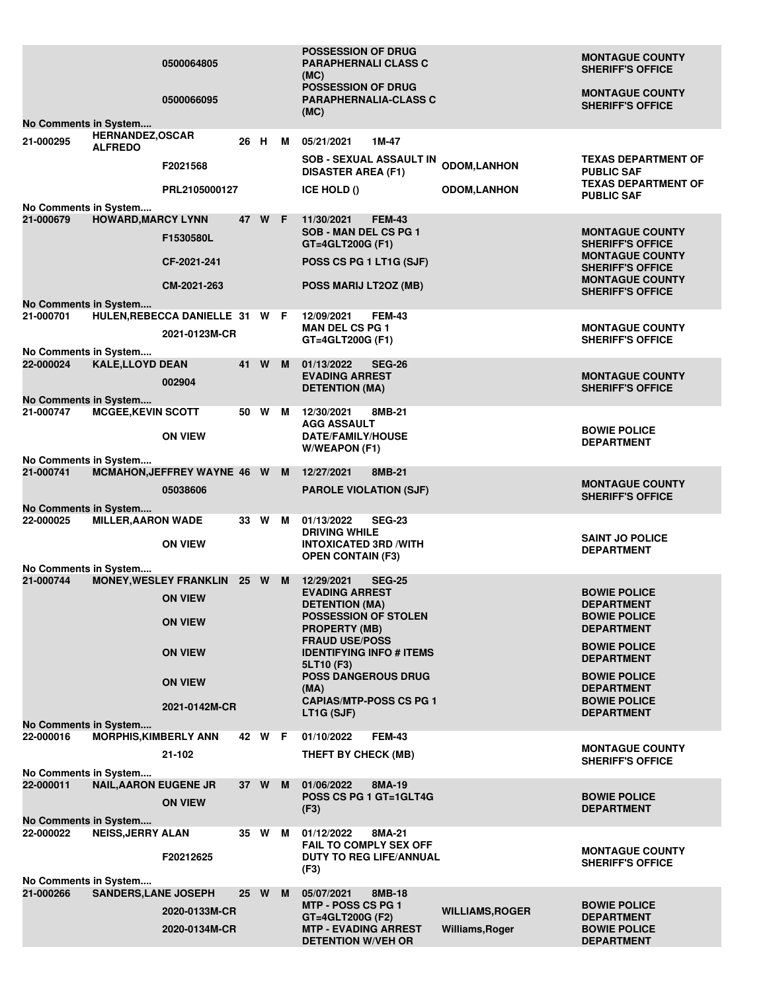|                                    |                                          | 0500064805<br>0500066095                        |      |        |   | <b>POSSESSION OF DRUG</b><br><b>PARAPHERNALI CLASS C</b><br>(MC)<br><b>POSSESSION OF DRUG</b><br><b>PARAPHERNALIA-CLASS C</b> |                        | <b>MONTAGUE COUNTY</b><br><b>SHERIFF'S OFFICE</b><br><b>MONTAGUE COUNTY</b><br><b>SHERIFF'S OFFICE</b> |
|------------------------------------|------------------------------------------|-------------------------------------------------|------|--------|---|-------------------------------------------------------------------------------------------------------------------------------|------------------------|--------------------------------------------------------------------------------------------------------|
| No Comments in System              |                                          |                                                 |      |        |   | (MC)                                                                                                                          |                        |                                                                                                        |
| 21-000295                          | <b>HERNANDEZ,OSCAR</b><br><b>ALFREDO</b> |                                                 | 26 H |        | м | 05/21/2021<br>1M-47                                                                                                           |                        |                                                                                                        |
|                                    |                                          | F2021568                                        |      |        |   | <b>SOB - SEXUAL ASSAULT IN</b><br><b>DISASTER AREA (F1)</b>                                                                   | <b>ODOM,LANHON</b>     | <b>TEXAS DEPARTMENT OF</b><br><b>PUBLIC SAF</b>                                                        |
|                                    |                                          | PRL2105000127                                   |      |        |   | ICE HOLD ()                                                                                                                   | <b>ODOM,LANHON</b>     | <b>TEXAS DEPARTMENT OF</b><br><b>PUBLIC SAF</b>                                                        |
| No Comments in System              |                                          |                                                 |      |        |   |                                                                                                                               |                        |                                                                                                        |
| 21-000679                          | <b>HOWARD, MARCY LYNN</b>                | F1530580L                                       | 47   | W F    |   | 11/30/2021<br><b>FEM-43</b><br><b>SOB - MAN DEL CS PG 1</b><br>GT=4GLT200G (F1)                                               |                        | <b>MONTAGUE COUNTY</b><br><b>SHERIFF'S OFFICE</b>                                                      |
|                                    |                                          | CF-2021-241                                     |      |        |   | POSS CS PG 1 LT1G (SJF)                                                                                                       |                        | <b>MONTAGUE COUNTY</b><br><b>SHERIFF'S OFFICE</b>                                                      |
|                                    |                                          | CM-2021-263                                     |      |        |   | POSS MARIJ LT2OZ (MB)                                                                                                         |                        | <b>MONTAGUE COUNTY</b><br><b>SHERIFF'S OFFICE</b>                                                      |
| No Comments in System              |                                          |                                                 |      |        |   |                                                                                                                               |                        |                                                                                                        |
| 21-000701                          |                                          | HULEN, REBECCA DANIELLE 31 W F<br>2021-0123M-CR |      |        |   | <b>FEM-43</b><br>12/09/2021<br><b>MAN DEL CS PG 1</b><br>GT=4GLT200G (F1)                                                     |                        | <b>MONTAGUE COUNTY</b><br><b>SHERIFF'S OFFICE</b>                                                      |
| No Comments in System<br>22-000024 | <b>KALE,LLOYD DEAN</b>                   |                                                 | 41   | W      | M | 01/13/2022<br><b>SEG-26</b>                                                                                                   |                        |                                                                                                        |
| <b>No Comments in System</b>       |                                          | 002904                                          |      |        |   | <b>EVADING ARREST</b><br><b>DETENTION (MA)</b>                                                                                |                        | <b>MONTAGUE COUNTY</b><br><b>SHERIFF'S OFFICE</b>                                                      |
| 21-000747                          | <b>MCGEE, KEVIN SCOTT</b>                |                                                 | 50   | W      | м | 12/30/2021<br>8MB-21                                                                                                          |                        |                                                                                                        |
|                                    |                                          | <b>ON VIEW</b>                                  |      |        |   | <b>AGG ASSAULT</b><br>DATE/FAMILY/HOUSE                                                                                       |                        | <b>BOWIE POLICE</b>                                                                                    |
|                                    |                                          |                                                 |      |        |   | W/WEAPON (F1)                                                                                                                 |                        | <b>DEPARTMENT</b>                                                                                      |
| No Comments in System<br>21-000741 |                                          | MCMAHON, JEFFREY WAYNE 46 W                     |      |        | M | 12/27/2021<br>8MB-21                                                                                                          |                        |                                                                                                        |
|                                    |                                          | 05038606                                        |      |        |   | <b>PAROLE VIOLATION (SJF)</b>                                                                                                 |                        | <b>MONTAGUE COUNTY</b><br><b>SHERIFF'S OFFICE</b>                                                      |
| No Comments in System              |                                          |                                                 |      |        |   |                                                                                                                               |                        |                                                                                                        |
| 22-000025                          | <b>MILLER, AARON WADE</b>                |                                                 |      | 33 W   | м | 01/13/2022<br><b>SEG-23</b><br><b>DRIVING WHILE</b>                                                                           |                        |                                                                                                        |
|                                    |                                          | <b>ON VIEW</b>                                  |      |        |   | <b>INTOXICATED 3RD /WITH</b><br><b>OPEN CONTAIN (F3)</b>                                                                      |                        | <b>SAINT JO POLICE</b><br><b>DEPARTMENT</b>                                                            |
| No Comments in System              |                                          |                                                 |      |        |   |                                                                                                                               |                        |                                                                                                        |
| 21-000744                          |                                          | MONEY, WESLEY FRANKLIN 25 W                     |      |        | M | 12/29/2021<br><b>SEG-25</b>                                                                                                   |                        | <b>BOWIE POLICE</b>                                                                                    |
|                                    |                                          | <b>ON VIEW</b>                                  |      |        |   | <b>EVADING ARREST</b><br><b>DETENTION (MA)</b>                                                                                |                        | <b>DEPARTMENT</b>                                                                                      |
|                                    |                                          | <b>ON VIEW</b>                                  |      |        |   | <b>POSSESSION OF STOLEN</b><br><b>PROPERTY (MB)</b>                                                                           |                        | <b>BOWIE POLICE</b><br><b>DEPARTMENT</b>                                                               |
|                                    |                                          | <b>ON VIEW</b>                                  |      |        |   | <b>FRAUD USE/POSS</b><br><b>IDENTIFYING INFO # ITEMS</b>                                                                      |                        | <b>BOWIE POLICE</b>                                                                                    |
|                                    |                                          |                                                 |      |        |   | 5LT10 (F3)<br><b>POSS DANGEROUS DRUG</b>                                                                                      |                        | <b>DEPARTMENT</b>                                                                                      |
|                                    |                                          | <b>ON VIEW</b>                                  |      |        |   | (MA)                                                                                                                          |                        | <b>BOWIE POLICE</b><br><b>DEPARTMENT</b>                                                               |
|                                    |                                          | 2021-0142M-CR                                   |      |        |   | <b>CAPIAS/MTP-POSS CS PG 1</b><br>LT1G (SJF)                                                                                  |                        | <b>BOWIE POLICE</b><br><b>DEPARTMENT</b>                                                               |
| No Comments in System              |                                          |                                                 |      | 42 W F |   | <b>FEM-43</b><br>01/10/2022                                                                                                   |                        |                                                                                                        |
| 22-000016                          | <b>MORPHIS, KIMBERLY ANN</b>             | 21-102                                          |      |        |   | THEFT BY CHECK (MB)                                                                                                           |                        | <b>MONTAGUE COUNTY</b>                                                                                 |
| No Comments in System              |                                          |                                                 |      |        |   |                                                                                                                               |                        | <b>SHERIFF'S OFFICE</b>                                                                                |
| 22-000011                          | <b>NAIL, AARON EUGENE JR</b>             |                                                 |      | 37 W   | M | 01/06/2022<br>8MA-19                                                                                                          |                        |                                                                                                        |
| <b>No Comments in System</b>       |                                          | <b>ON VIEW</b>                                  |      |        |   | POSS CS PG 1 GT=1GLT4G<br>(F3)                                                                                                |                        | <b>BOWIE POLICE</b><br><b>DEPARTMENT</b>                                                               |
| 22-000022                          | <b>NEISS, JERRY ALAN</b>                 |                                                 |      | 35 W   | M | 01/12/2022<br>8MA-21                                                                                                          |                        |                                                                                                        |
|                                    |                                          | F20212625                                       |      |        |   | <b>FAIL TO COMPLY SEX OFF</b><br><b>DUTY TO REG LIFE/ANNUAL</b>                                                               |                        | <b>MONTAGUE COUNTY</b>                                                                                 |
|                                    |                                          |                                                 |      |        |   | (F3)                                                                                                                          |                        | <b>SHERIFF'S OFFICE</b>                                                                                |
| No Comments in System<br>21-000266 | <b>SANDERS, LANE JOSEPH</b>              |                                                 |      | 25 W   | M | 05/07/2021<br>8MB-18                                                                                                          |                        |                                                                                                        |
|                                    |                                          | 2020-0133M-CR                                   |      |        |   | MTP - POSS CS PG 1                                                                                                            | <b>WILLIAMS, ROGER</b> | <b>BOWIE POLICE</b>                                                                                    |
|                                    |                                          | 2020-0134M-CR                                   |      |        |   | GT=4GLT200G (F2)<br><b>MTP - EVADING ARREST</b>                                                                               | Williams, Roger        | <b>DEPARTMENT</b><br><b>BOWIE POLICE</b>                                                               |
|                                    |                                          |                                                 |      |        |   | <b>DETENTION W/VEH OR</b>                                                                                                     |                        | <b>DEPARTMENT</b>                                                                                      |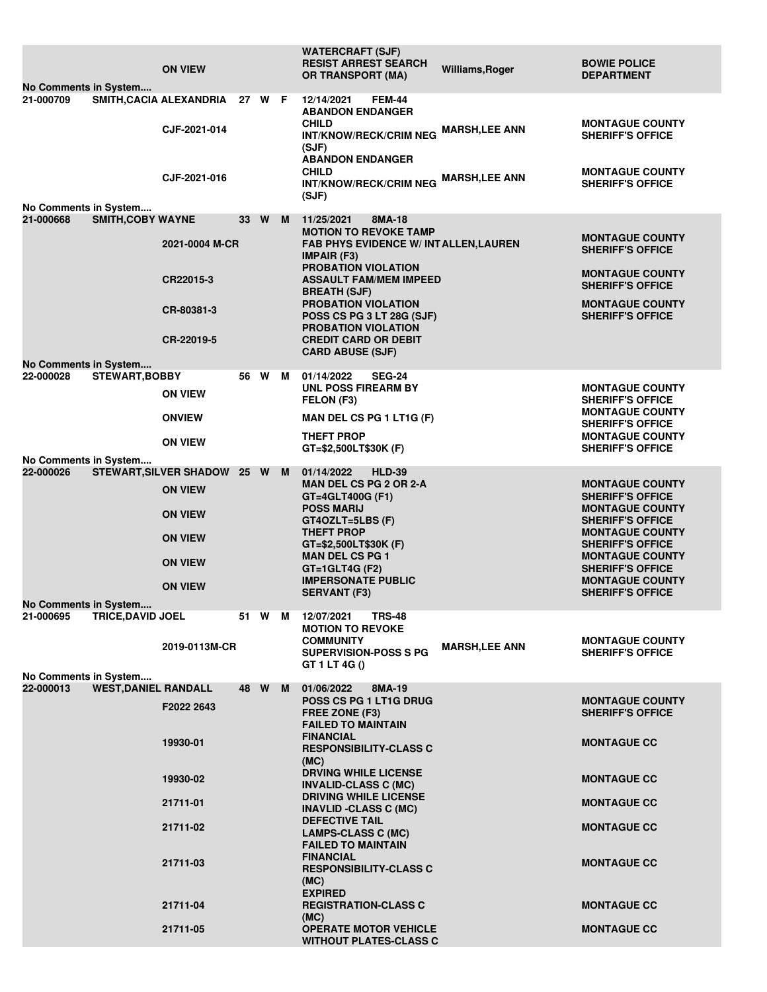| No Comments in System              |                             | <b>ON VIEW</b>                                 |      |        |   | <b>WATERCRAFT (SJF)</b><br><b>RESIST ARREST SEARCH</b><br><b>OR TRANSPORT (MA)</b>                                                                                                                                                                                                | Williams, Roger                                   | <b>BOWIE POLICE</b><br><b>DEPARTMENT</b>                                                               |
|------------------------------------|-----------------------------|------------------------------------------------|------|--------|---|-----------------------------------------------------------------------------------------------------------------------------------------------------------------------------------------------------------------------------------------------------------------------------------|---------------------------------------------------|--------------------------------------------------------------------------------------------------------|
| 21-000709                          |                             | SMITH, CACIA ALEXANDRIA 27 W F<br>CJF-2021-014 |      |        |   | 12/14/2021<br><b>FEM-44</b><br><b>ABANDON ENDANGER</b><br><b>CHILD</b><br><b>INT/KNOW/RECK/CRIM NEG</b><br>(SJF)<br><b>ABANDON ENDANGER</b>                                                                                                                                       | <b>MARSH,LEE ANN</b>                              | <b>MONTAGUE COUNTY</b><br><b>SHERIFF'S OFFICE</b>                                                      |
| No Comments in System              |                             | CJF-2021-016                                   |      |        |   | <b>CHILD</b><br>INT/KNOW/RECK/CRIM NEG MARSH, LEE ANN<br>(SJF)                                                                                                                                                                                                                    |                                                   | <b>MONTAGUE COUNTY</b><br><b>SHERIFF'S OFFICE</b>                                                      |
| 21-000668                          | <b>SMITH, COBY WAYNE</b>    |                                                | 33   | W      | M | 11/25/2021<br>8MA-18                                                                                                                                                                                                                                                              |                                                   |                                                                                                        |
|                                    |                             | 2021-0004 M-CR                                 |      |        |   | <b>MOTION TO REVOKE TAMP</b><br><b>FAB PHYS EVIDENCE W/ INTALLEN, LAUREN</b><br><b>IMPAIR (F3)</b><br><b>PROBATION VIOLATION</b><br><b>ASSAULT FAM/MEM IMPEED</b><br><b>BREATH (SJF)</b><br><b>PROBATION VIOLATION</b><br>POSS CS PG 3 LT 28G (SJF)<br><b>PROBATION VIOLATION</b> | <b>MONTAGUE COUNTY</b><br><b>SHERIFF'S OFFICE</b> |                                                                                                        |
|                                    |                             | CR22015-3                                      |      |        |   |                                                                                                                                                                                                                                                                                   |                                                   | <b>MONTAGUE COUNTY</b><br><b>SHERIFF'S OFFICE</b>                                                      |
|                                    |                             | CR-80381-3                                     |      |        |   |                                                                                                                                                                                                                                                                                   |                                                   | <b>MONTAGUE COUNTY</b><br><b>SHERIFF'S OFFICE</b>                                                      |
|                                    |                             | CR-22019-5                                     |      |        |   | <b>CREDIT CARD OR DEBIT</b><br><b>CARD ABUSE (SJF)</b>                                                                                                                                                                                                                            |                                                   |                                                                                                        |
| No Comments in System<br>22-000028 |                             |                                                | 56   | W      | M | 01/14/2022<br><b>SEG-24</b>                                                                                                                                                                                                                                                       |                                                   |                                                                                                        |
|                                    | <b>STEWART, BOBBY</b>       | <b>ON VIEW</b>                                 |      |        |   | <b>UNL POSS FIREARM BY</b><br>FELON (F3)                                                                                                                                                                                                                                          |                                                   | <b>MONTAGUE COUNTY</b><br><b>SHERIFF'S OFFICE</b><br><b>MONTAGUE COUNTY</b><br><b>SHERIFF'S OFFICE</b> |
|                                    |                             | <b>ONVIEW</b>                                  |      |        |   | MAN DEL CS PG 1 LT1G (F)                                                                                                                                                                                                                                                          |                                                   |                                                                                                        |
| No Comments in System              |                             | <b>ON VIEW</b>                                 |      |        |   | <b>THEFT PROP</b><br>GT=\$2,500LT\$30K (F)                                                                                                                                                                                                                                        |                                                   | <b>MONTAGUE COUNTY</b><br><b>SHERIFF'S OFFICE</b>                                                      |
| 22-000026                          |                             | <b>STEWART, SILVER SHADOW</b>                  |      | 25 W M |   | 01/14/2022<br><b>HLD-39</b>                                                                                                                                                                                                                                                       |                                                   |                                                                                                        |
|                                    |                             | <b>ON VIEW</b>                                 |      |        |   | <b>MAN DEL CS PG 2 OR 2-A</b><br>GT=4GLT400G (F1)<br><b>POSS MARIJ</b>                                                                                                                                                                                                            |                                                   | <b>MONTAGUE COUNTY</b><br><b>SHERIFF'S OFFICE</b><br><b>MONTAGUE COUNTY</b>                            |
|                                    |                             | <b>ON VIEW</b>                                 |      |        |   | $GT4OZLT = 5LBS$ (F)<br><b>THEFT PROP</b>                                                                                                                                                                                                                                         |                                                   | <b>SHERIFF'S OFFICE</b><br><b>MONTAGUE COUNTY</b>                                                      |
|                                    |                             | <b>ON VIEW</b>                                 |      |        |   | GT=\$2,500LT\$30K (F)<br><b>MAN DEL CS PG 1</b>                                                                                                                                                                                                                                   |                                                   | <b>SHERIFF'S OFFICE</b><br><b>MONTAGUE COUNTY</b>                                                      |
|                                    |                             | <b>ON VIEW</b>                                 |      |        |   | $GT = 1$ GLT4G (F2)<br><b>IMPERSONATE PUBLIC</b>                                                                                                                                                                                                                                  |                                                   | <b>SHERIFF'S OFFICE</b><br><b>MONTAGUE COUNTY</b>                                                      |
| No Comments in System              |                             | <b>ON VIEW</b>                                 |      |        |   | <b>SERVANT (F3)</b>                                                                                                                                                                                                                                                               |                                                   | <b>SHERIFF'S OFFICE</b>                                                                                |
| 21-000695                          | <b>TRICE, DAVID JOEL</b>    |                                                |      | 51 W M |   | 12/07/2021<br><b>TRS-48</b><br><b>MOTION TO REVOKE</b><br><b>COMMUNITY</b>                                                                                                                                                                                                        |                                                   | <b>MONTAGUE COUNTY</b>                                                                                 |
|                                    |                             | 2019-0113M-CR                                  |      |        |   | <b>SUPERVISION-POSS S PG</b><br>GT 1 LT 4G ()                                                                                                                                                                                                                                     | <b>MARSH,LEE ANN</b>                              | <b>SHERIFF'S OFFICE</b>                                                                                |
| No Comments in System              |                             |                                                |      |        |   |                                                                                                                                                                                                                                                                                   |                                                   |                                                                                                        |
| 22-000013                          | <b>WEST, DANIEL RANDALL</b> | F2022 2643                                     | 48 W |        | M | 01/06/2022<br>8MA-19<br>POSS CS PG 1 LT1G DRUG<br>FREE ZONE (F3)                                                                                                                                                                                                                  |                                                   | <b>MONTAGUE COUNTY</b><br><b>SHERIFF'S OFFICE</b>                                                      |
|                                    |                             | 19930-01                                       |      |        |   | <b>FAILED TO MAINTAIN</b><br><b>FINANCIAL</b><br><b>RESPONSIBILITY-CLASS C</b>                                                                                                                                                                                                    |                                                   | <b>MONTAGUE CC</b>                                                                                     |
|                                    |                             | 19930-02                                       |      |        |   | (MC)<br><b>DRVING WHILE LICENSE</b><br><b>INVALID-CLASS C (MC)</b>                                                                                                                                                                                                                |                                                   | <b>MONTAGUE CC</b>                                                                                     |
|                                    |                             | 21711-01                                       |      |        |   | <b>DRIVING WHILE LICENSE</b><br><b>INAVLID -CLASS C (MC)</b>                                                                                                                                                                                                                      |                                                   | <b>MONTAGUE CC</b>                                                                                     |
|                                    |                             | 21711-02                                       |      |        |   | <b>DEFECTIVE TAIL</b><br><b>LAMPS-CLASS C (MC)</b><br><b>FAILED TO MAINTAIN</b>                                                                                                                                                                                                   |                                                   | <b>MONTAGUE CC</b>                                                                                     |
|                                    |                             | 21711-03                                       |      |        |   | <b>FINANCIAL</b><br><b>RESPONSIBILITY-CLASS C</b><br>(MC)                                                                                                                                                                                                                         |                                                   | <b>MONTAGUE CC</b>                                                                                     |
|                                    |                             | 21711-04                                       |      |        |   | <b>EXPIRED</b><br><b>REGISTRATION-CLASS C</b>                                                                                                                                                                                                                                     |                                                   | <b>MONTAGUE CC</b>                                                                                     |
|                                    |                             | 21711-05                                       |      |        |   | (MC)<br><b>OPERATE MOTOR VEHICLE</b><br><b>WITHOUT PLATES-CLASS C</b>                                                                                                                                                                                                             |                                                   | <b>MONTAGUE CC</b>                                                                                     |